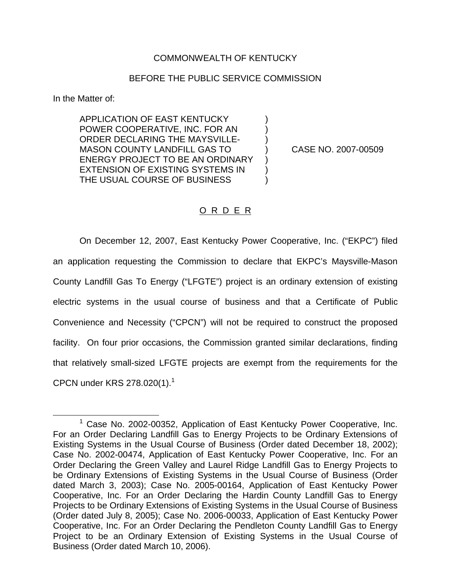## COMMONWEALTH OF KENTUCKY

## BEFORE THE PUBLIC SERVICE COMMISSION

In the Matter of:

APPLICATION OF EAST KENTUCKY ) POWER COOPERATIVE, INC. FOR AN ) ORDER DECLARING THE MAYSVILLE-MASON COUNTY LANDFILL GAS TO ) CASE NO. 2007-00509 ENERGY PROJECT TO BE AN ORDINARY EXTENSION OF EXISTING SYSTEMS IN ) THE USUAL COURSE OF BUSINESS  $\qquad \qquad$  )

## O R D E R

On December 12, 2007, East Kentucky Power Cooperative, Inc. ("EKPC") filed an application requesting the Commission to declare that EKPC's Maysville-Mason County Landfill Gas To Energy ("LFGTE") project is an ordinary extension of existing electric systems in the usual course of business and that a Certificate of Public Convenience and Necessity ("CPCN") will not be required to construct the proposed facility. On four prior occasions, the Commission granted similar declarations, finding that relatively small-sized LFGTE projects are exempt from the requirements for the CPCN under KRS  $278.020(1).$ <sup>1</sup>

<sup>&</sup>lt;sup>1</sup> Case No. 2002-00352, Application of East Kentucky Power Cooperative, Inc. For an Order Declaring Landfill Gas to Energy Projects to be Ordinary Extensions of Existing Systems in the Usual Course of Business (Order dated December 18, 2002); Case No. 2002-00474, Application of East Kentucky Power Cooperative, Inc. For an Order Declaring the Green Valley and Laurel Ridge Landfill Gas to Energy Projects to be Ordinary Extensions of Existing Systems in the Usual Course of Business (Order dated March 3, 2003); Case No. 2005-00164, Application of East Kentucky Power Cooperative, Inc. For an Order Declaring the Hardin County Landfill Gas to Energy Projects to be Ordinary Extensions of Existing Systems in the Usual Course of Business (Order dated July 8, 2005); Case No. 2006-00033, Application of East Kentucky Power Cooperative, Inc. For an Order Declaring the Pendleton County Landfill Gas to Energy Project to be an Ordinary Extension of Existing Systems in the Usual Course of Business (Order dated March 10, 2006).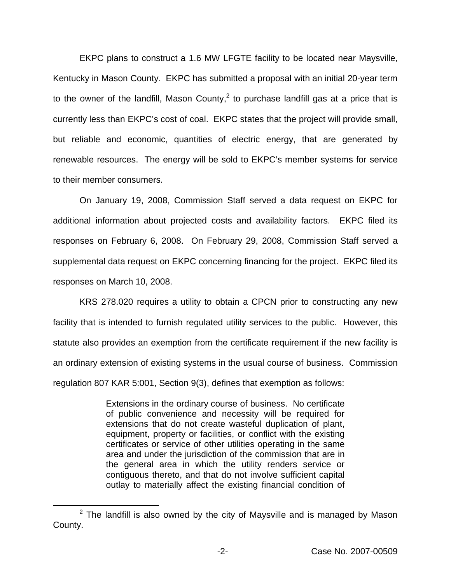EKPC plans to construct a 1.6 MW LFGTE facility to be located near Maysville, Kentucky in Mason County. EKPC has submitted a proposal with an initial 20-year term to the owner of the landfill, Mason County, $<sup>2</sup>$  to purchase landfill gas at a price that is</sup> currently less than EKPC's cost of coal. EKPC states that the project will provide small, but reliable and economic, quantities of electric energy, that are generated by renewable resources. The energy will be sold to EKPC's member systems for service to their member consumers.

On January 19, 2008, Commission Staff served a data request on EKPC for additional information about projected costs and availability factors. EKPC filed its responses on February 6, 2008. On February 29, 2008, Commission Staff served a supplemental data request on EKPC concerning financing for the project. EKPC filed its responses on March 10, 2008.

KRS 278.020 requires a utility to obtain a CPCN prior to constructing any new facility that is intended to furnish regulated utility services to the public. However, this statute also provides an exemption from the certificate requirement if the new facility is an ordinary extension of existing systems in the usual course of business. Commission regulation 807 KAR 5:001, Section 9(3), defines that exemption as follows:

> Extensions in the ordinary course of business. No certificate of public convenience and necessity will be required for extensions that do not create wasteful duplication of plant, equipment, property or facilities, or conflict with the existing certificates or service of other utilities operating in the same area and under the jurisdiction of the commission that are in the general area in which the utility renders service or contiguous thereto, and that do not involve sufficient capital outlay to materially affect the existing financial condition of

 $2$  The landfill is also owned by the city of Maysville and is managed by Mason County.